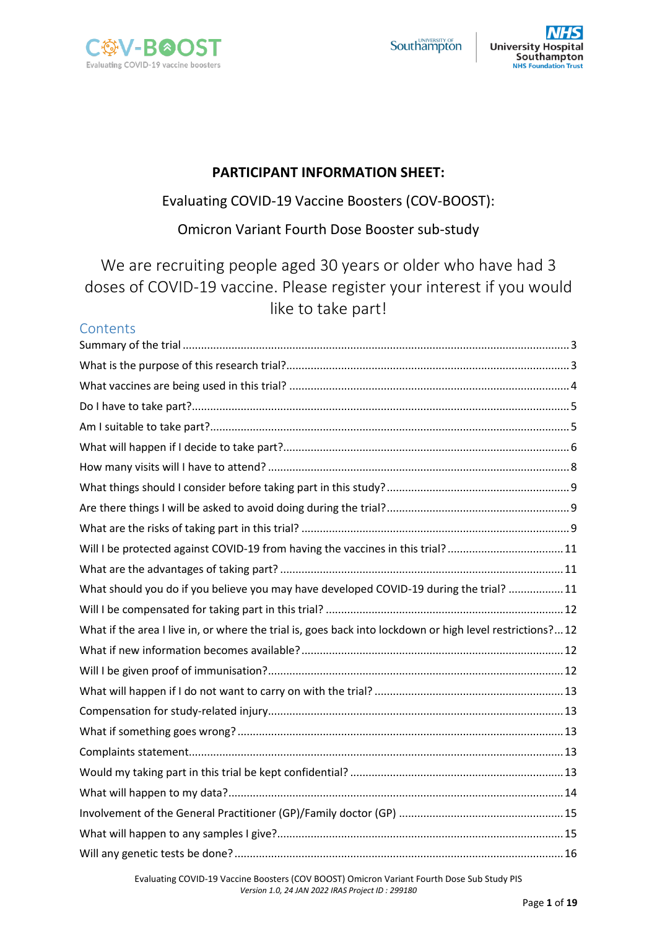



## **PARTICIPANT INFORMATION SHEET:**

# Evaluating COVID-19 Vaccine Boosters (COV-BOOST):

# Omicron Variant Fourth Dose Booster sub-study

We are recruiting people aged 30 years or older who have had 3 doses of COVID-19 vaccine. Please register your interest if you would like to take part!

# **Contents**

| Will I be protected against COVID-19 from having the vaccines in this trial? 11                          |
|----------------------------------------------------------------------------------------------------------|
|                                                                                                          |
| What should you do if you believe you may have developed COVID-19 during the trial? 11                   |
|                                                                                                          |
| What if the area I live in, or where the trial is, goes back into lockdown or high level restrictions?12 |
|                                                                                                          |
|                                                                                                          |
|                                                                                                          |
|                                                                                                          |
|                                                                                                          |
|                                                                                                          |
|                                                                                                          |
|                                                                                                          |
|                                                                                                          |
|                                                                                                          |
|                                                                                                          |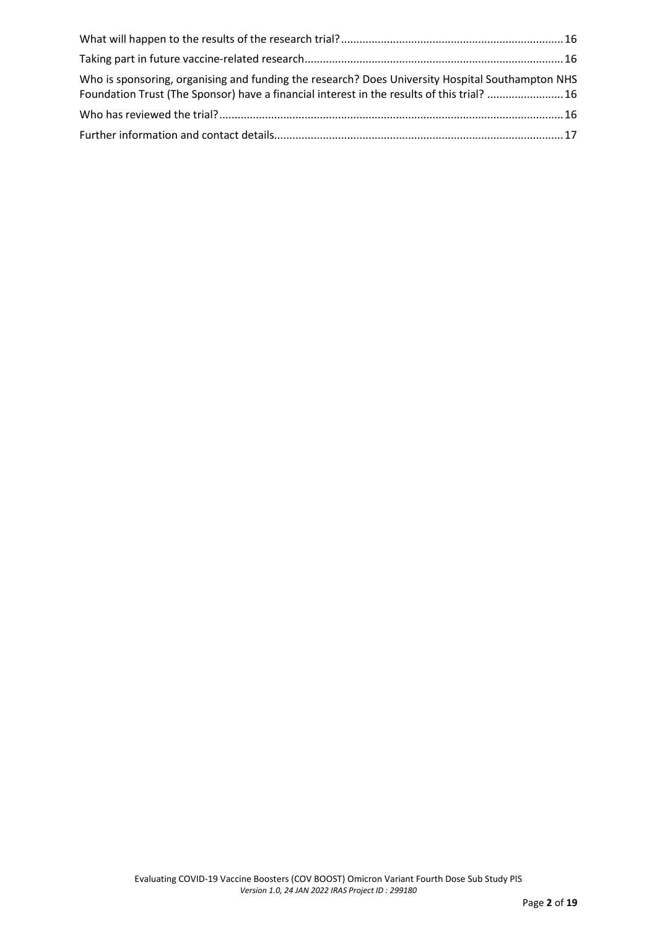| Who is sponsoring, organising and funding the research? Does University Hospital Southampton NHS<br>Foundation Trust (The Sponsor) have a financial interest in the results of this trial? 16 |  |
|-----------------------------------------------------------------------------------------------------------------------------------------------------------------------------------------------|--|
|                                                                                                                                                                                               |  |
|                                                                                                                                                                                               |  |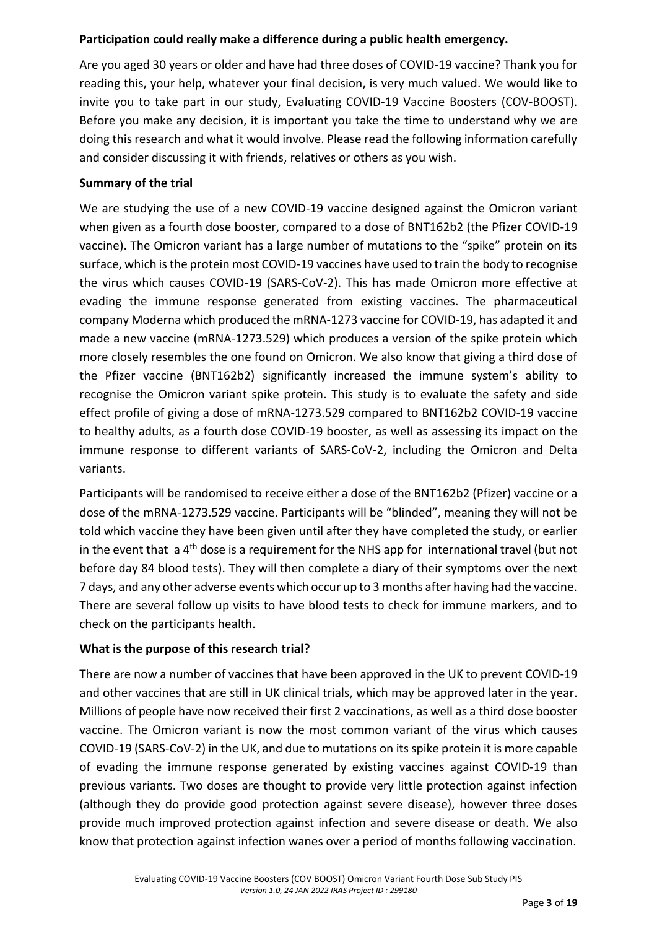#### **Participation could really make a difference during a public health emergency.**

Are you aged 30 years or older and have had three doses of COVID-19 vaccine? Thank you for reading this, your help, whatever your final decision, is very much valued. We would like to invite you to take part in our study, Evaluating COVID-19 Vaccine Boosters (COV-BOOST). Before you make any decision, it is important you take the time to understand why we are doing this research and what it would involve. Please read the following information carefully and consider discussing it with friends, relatives or others as you wish.

#### <span id="page-2-0"></span>**Summary of the trial**

We are studying the use of a new COVID-19 vaccine designed against the Omicron variant when given as a fourth dose booster, compared to a dose of BNT162b2 (the Pfizer COVID-19 vaccine). The Omicron variant has a large number of mutations to the "spike" protein on its surface, which is the protein most COVID-19 vaccines have used to train the body to recognise the virus which causes COVID-19 (SARS-CoV-2). This has made Omicron more effective at evading the immune response generated from existing vaccines. The pharmaceutical company Moderna which produced the mRNA-1273 vaccine for COVID-19, has adapted it and made a new vaccine (mRNA-1273.529) which produces a version of the spike protein which more closely resembles the one found on Omicron. We also know that giving a third dose of the Pfizer vaccine (BNT162b2) significantly increased the immune system's ability to recognise the Omicron variant spike protein. This study is to evaluate the safety and side effect profile of giving a dose of mRNA-1273.529 compared to BNT162b2 COVID-19 vaccine to healthy adults, as a fourth dose COVID-19 booster, as well as assessing its impact on the immune response to different variants of SARS-CoV-2, including the Omicron and Delta variants.

Participants will be randomised to receive either a dose of the BNT162b2 (Pfizer) vaccine or a dose of the mRNA-1273.529 vaccine. Participants will be "blinded", meaning they will not be told which vaccine they have been given until after they have completed the study, or earlier in the event that  $a 4<sup>th</sup>$  dose is a requirement for the NHS app for international travel (but not before day 84 blood tests). They will then complete a diary of their symptoms over the next 7 days, and any other adverse events which occur up to 3 months after having had the vaccine. There are several follow up visits to have blood tests to check for immune markers, and to check on the participants health.

#### <span id="page-2-1"></span>**What is the purpose of this research trial?**

There are now a number of vaccines that have been approved in the UK to prevent COVID-19 and other vaccines that are still in UK clinical trials, which may be approved later in the year. Millions of people have now received their first 2 vaccinations, as well as a third dose booster vaccine. The Omicron variant is now the most common variant of the virus which causes COVID-19 (SARS-CoV-2) in the UK, and due to mutations on itsspike protein it is more capable of evading the immune response generated by existing vaccines against COVID-19 than previous variants. Two doses are thought to provide very little protection against infection (although they do provide good protection against severe disease), however three doses provide much improved protection against infection and severe disease or death. We also know that protection against infection wanes over a period of months following vaccination.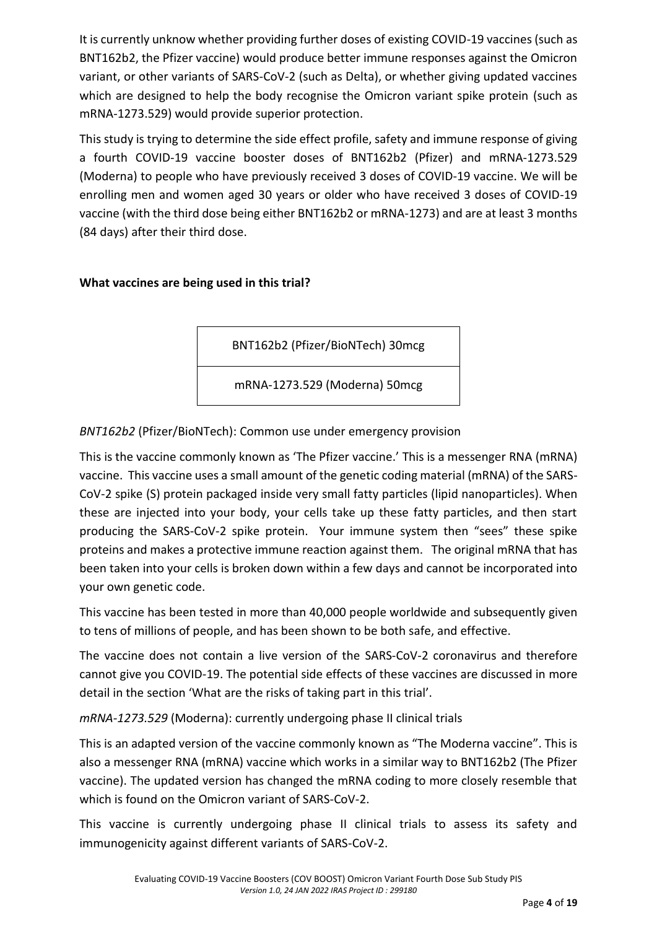It is currently unknow whether providing further doses of existing COVID-19 vaccines (such as BNT162b2, the Pfizer vaccine) would produce better immune responses against the Omicron variant, or other variants of SARS-CoV-2 (such as Delta), or whether giving updated vaccines which are designed to help the body recognise the Omicron variant spike protein (such as mRNA-1273.529) would provide superior protection.

This study is trying to determine the side effect profile, safety and immune response of giving a fourth COVID-19 vaccine booster doses of BNT162b2 (Pfizer) and mRNA-1273.529 (Moderna) to people who have previously received 3 doses of COVID-19 vaccine. We will be enrolling men and women aged 30 years or older who have received 3 doses of COVID-19 vaccine (with the third dose being either BNT162b2 or mRNA-1273) and are at least 3 months (84 days) after their third dose.

## <span id="page-3-0"></span>**What vaccines are being used in this trial?**

BNT162b2 (Pfizer/BioNTech) 30mcg

mRNA-1273.529 (Moderna) 50mcg

*BNT162b2* (Pfizer/BioNTech): Common use under emergency provision

This is the vaccine commonly known as 'The Pfizer vaccine.' This is a messenger RNA (mRNA) vaccine. This vaccine uses a small amount of the genetic coding material (mRNA) of the SARS-CoV-2 spike (S) protein packaged inside very small fatty particles (lipid nanoparticles). When these are injected into your body, your cells take up these fatty particles, and then start producing the SARS-CoV-2 spike protein. Your immune system then "sees" these spike proteins and makes a protective immune reaction against them. The original mRNA that has been taken into your cells is broken down within a few days and cannot be incorporated into your own genetic code.

This vaccine has been tested in more than 40,000 people worldwide and subsequently given to tens of millions of people, and has been shown to be both safe, and effective.

The vaccine does not contain a live version of the SARS-CoV-2 coronavirus and therefore cannot give you COVID-19. The potential side effects of these vaccines are discussed in more detail in the section 'What are the risks of taking part in this trial'.

*mRNA-1273.529* (Moderna): currently undergoing phase II clinical trials

This is an adapted version of the vaccine commonly known as "The Moderna vaccine". This is also a messenger RNA (mRNA) vaccine which works in a similar way to BNT162b2 (The Pfizer vaccine). The updated version has changed the mRNA coding to more closely resemble that which is found on the Omicron variant of SARS-CoV-2.

This vaccine is currently undergoing phase II clinical trials to assess its safety and immunogenicity against different variants of SARS-CoV-2.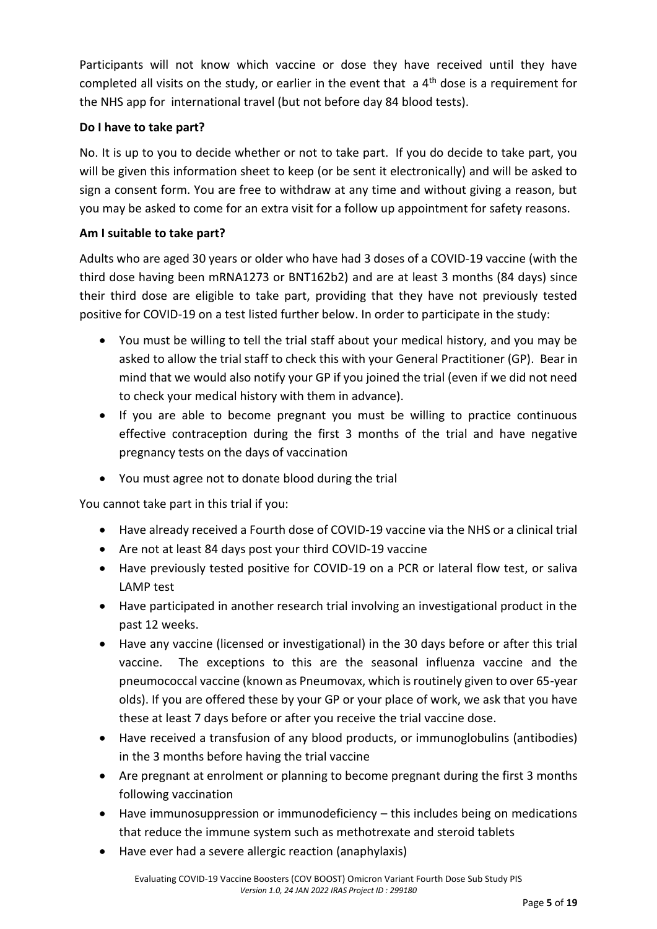Participants will not know which vaccine or dose they have received until they have completed all visits on the study, or earlier in the event that  $a 4<sup>th</sup>$  dose is a requirement for the NHS app for international travel (but not before day 84 blood tests).

## <span id="page-4-0"></span>**Do I have to take part?**

No. It is up to you to decide whether or not to take part. If you do decide to take part, you will be given this information sheet to keep (or be sent it electronically) and will be asked to sign a consent form. You are free to withdraw at any time and without giving a reason, but you may be asked to come for an extra visit for a follow up appointment for safety reasons.

## <span id="page-4-1"></span>**Am I suitable to take part?**

Adults who are aged 30 years or older who have had 3 doses of a COVID-19 vaccine (with the third dose having been mRNA1273 or BNT162b2) and are at least 3 months (84 days) since their third dose are eligible to take part, providing that they have not previously tested positive for COVID-19 on a test listed further below. In order to participate in the study:

- You must be willing to tell the trial staff about your medical history, and you may be asked to allow the trial staff to check this with your General Practitioner (GP). Bear in mind that we would also notify your GP if you joined the trial (even if we did not need to check your medical history with them in advance).
- If you are able to become pregnant you must be willing to practice continuous effective contraception during the first 3 months of the trial and have negative pregnancy tests on the days of vaccination
- You must agree not to donate blood during the trial

You cannot take part in this trial if you:

- Have already received a Fourth dose of COVID-19 vaccine via the NHS or a clinical trial
- Are not at least 84 days post your third COVID-19 vaccine
- Have previously tested positive for COVID-19 on a PCR or lateral flow test, or saliva LAMP test
- Have participated in another research trial involving an investigational product in the past 12 weeks.
- Have any vaccine (licensed or investigational) in the 30 days before or after this trial vaccine. The exceptions to this are the seasonal influenza vaccine and the pneumococcal vaccine (known as Pneumovax, which is routinely given to over 65-year olds). If you are offered these by your GP or your place of work, we ask that you have these at least 7 days before or after you receive the trial vaccine dose.
- Have received a transfusion of any blood products, or immunoglobulins (antibodies) in the 3 months before having the trial vaccine
- Are pregnant at enrolment or planning to become pregnant during the first 3 months following vaccination
- Have immunosuppression or immunodeficiency this includes being on medications that reduce the immune system such as methotrexate and steroid tablets
- Have ever had a severe allergic reaction (anaphylaxis)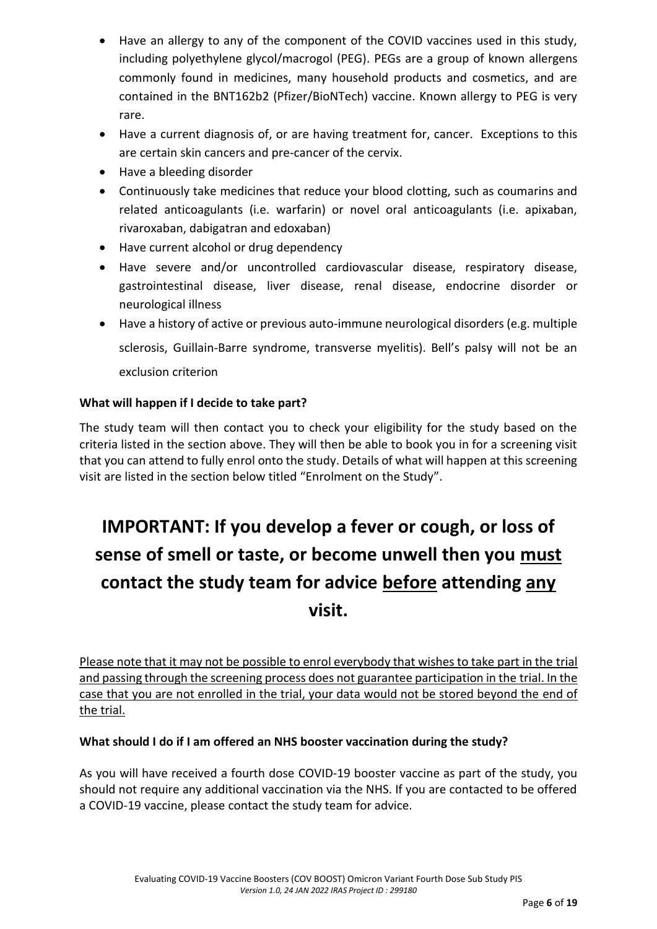- Have an allergy to any of the component of the COVID vaccines used in this study, including polyethylene glycol/macrogol (PEG). PEGs are a group of known allergens commonly found in medicines, many household products and cosmetics, and are contained in the BNT162b2 (Pfizer/BioNTech) vaccine. Known allergy to PEG is very rare.
- Have a current diagnosis of, or are having treatment for, cancer. Exceptions to this are certain skin cancers and pre-cancer of the cervix.
- Have a bleeding disorder
- Continuously take medicines that reduce your blood clotting, such as coumarins and related anticoagulants (i.e. warfarin) or novel oral anticoagulants (i.e. apixaban, rivaroxaban, dabigatran and edoxaban)
- Have current alcohol or drug dependency
- Have severe and/or uncontrolled cardiovascular disease, respiratory disease, gastrointestinal disease, liver disease, renal disease, endocrine disorder or neurological illness
- Have a history of active or previous auto-immune neurological disorders (e.g. multiple sclerosis, Guillain-Barre syndrome, transverse myelitis). Bell's palsy will not be an exclusion criterion

## <span id="page-5-0"></span>**What will happen if I decide to take part?**

The study team will then contact you to check your eligibility for the study based on the criteria listed in the section above. They will then be able to book you in for a screening visit that you can attend to fully enrol onto the study. Details of what will happen at this screening visit are listed in the section below titled "Enrolment on the Study".

# **IMPORTANT: If you develop a fever or cough, or loss of sense of smell or taste, or become unwell then you must contact the study team for advice before attending any visit.**

Please note that it may not be possible to enrol everybody that wishes to take part in the trial and passing through the screening process does not guarantee participation in the trial. In the case that you are not enrolled in the trial, your data would not be stored beyond the end of the trial.

#### **What should I do if I am offered an NHS booster vaccination during the study?**

As you will have received a fourth dose COVID-19 booster vaccine as part of the study, you should not require any additional vaccination via the NHS. If you are contacted to be offered a COVID-19 vaccine, please contact the study team for advice.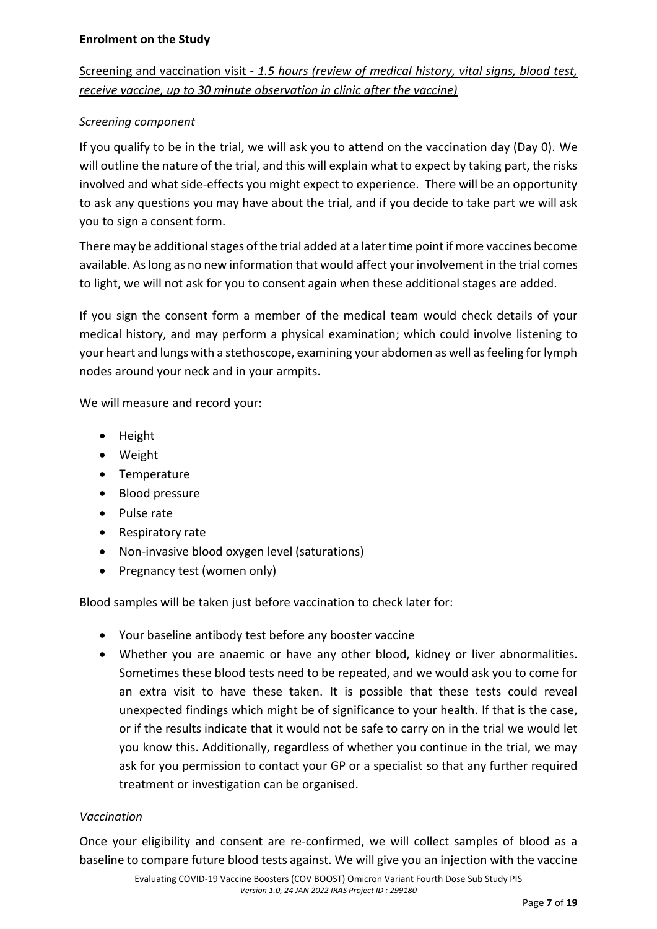# Screening and vaccination visit - *1.5 hours (review of medical history, vital signs, blood test, receive vaccine, up to 30 minute observation in clinic after the vaccine)*

## *Screening component*

If you qualify to be in the trial, we will ask you to attend on the vaccination day (Day 0). We will outline the nature of the trial, and this will explain what to expect by taking part, the risks involved and what side-effects you might expect to experience. There will be an opportunity to ask any questions you may have about the trial, and if you decide to take part we will ask you to sign a consent form.

There may be additional stages of the trial added at a later time point if more vaccines become available. As long as no new information that would affect your involvement in the trial comes to light, we will not ask for you to consent again when these additional stages are added.

If you sign the consent form a member of the medical team would check details of your medical history, and may perform a physical examination; which could involve listening to your heart and lungs with a stethoscope, examining your abdomen as well as feeling for lymph nodes around your neck and in your armpits.

We will measure and record your:

- Height
- Weight
- Temperature
- Blood pressure
- Pulse rate
- Respiratory rate
- Non-invasive blood oxygen level (saturations)
- Pregnancy test (women only)

Blood samples will be taken just before vaccination to check later for:

- Your baseline antibody test before any booster vaccine
- Whether you are anaemic or have any other blood, kidney or liver abnormalities. Sometimes these blood tests need to be repeated, and we would ask you to come for an extra visit to have these taken. It is possible that these tests could reveal unexpected findings which might be of significance to your health. If that is the case, or if the results indicate that it would not be safe to carry on in the trial we would let you know this. Additionally, regardless of whether you continue in the trial, we may ask for you permission to contact your GP or a specialist so that any further required treatment or investigation can be organised.

#### *Vaccination*

Once your eligibility and consent are re-confirmed, we will collect samples of blood as a baseline to compare future blood tests against. We will give you an injection with the vaccine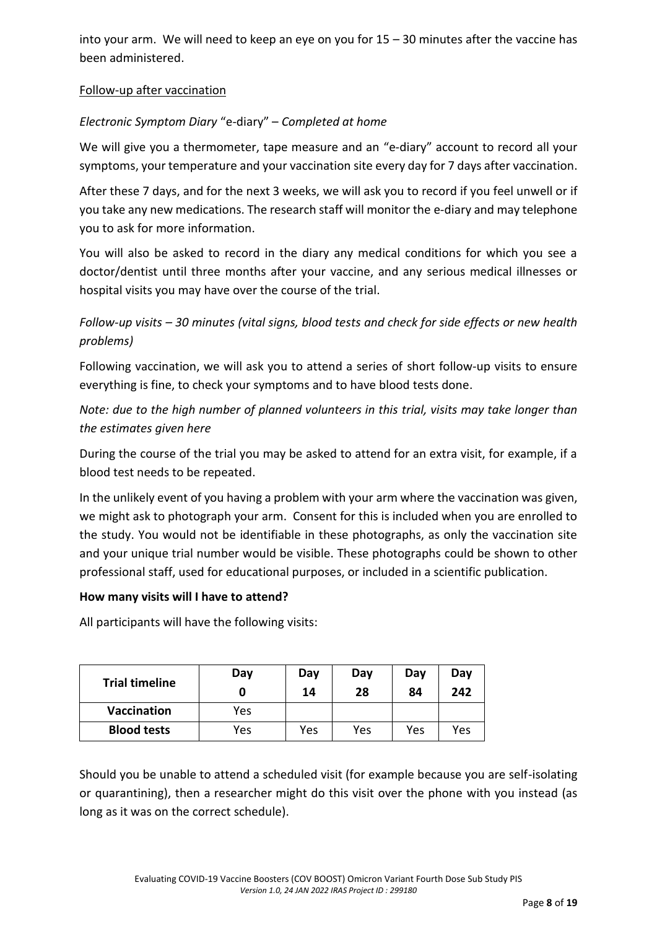into your arm. We will need to keep an eye on you for 15 – 30 minutes after the vaccine has been administered.

## Follow-up after vaccination

# *Electronic Symptom Diary* "e-diary" – *Completed at home*

We will give you a thermometer, tape measure and an "e-diary" account to record all your symptoms, your temperature and your vaccination site every day for 7 days after vaccination.

After these 7 days, and for the next 3 weeks, we will ask you to record if you feel unwell or if you take any new medications. The research staff will monitor the e-diary and may telephone you to ask for more information.

You will also be asked to record in the diary any medical conditions for which you see a doctor/dentist until three months after your vaccine, and any serious medical illnesses or hospital visits you may have over the course of the trial.

# *Follow-up visits – 30 minutes (vital signs, blood tests and check for side effects or new health problems)*

Following vaccination, we will ask you to attend a series of short follow-up visits to ensure everything is fine, to check your symptoms and to have blood tests done.

*Note: due to the high number of planned volunteers in this trial, visits may take longer than the estimates given here*

During the course of the trial you may be asked to attend for an extra visit, for example, if a blood test needs to be repeated.

In the unlikely event of you having a problem with your arm where the vaccination was given, we might ask to photograph your arm. Consent for this is included when you are enrolled to the study. You would not be identifiable in these photographs, as only the vaccination site and your unique trial number would be visible. These photographs could be shown to other professional staff, used for educational purposes, or included in a scientific publication.

#### <span id="page-7-0"></span>**How many visits will I have to attend?**

All participants will have the following visits:

| <b>Trial timeline</b> | Day | Day<br>14 | Day<br>28 | Day<br>84 | Day<br>242 |
|-----------------------|-----|-----------|-----------|-----------|------------|
| <b>Vaccination</b>    | Yes |           |           |           |            |
| <b>Blood tests</b>    | Yes | Yes       | Yes       | Yes       | Yes        |

Should you be unable to attend a scheduled visit (for example because you are self-isolating or quarantining), then a researcher might do this visit over the phone with you instead (as long as it was on the correct schedule).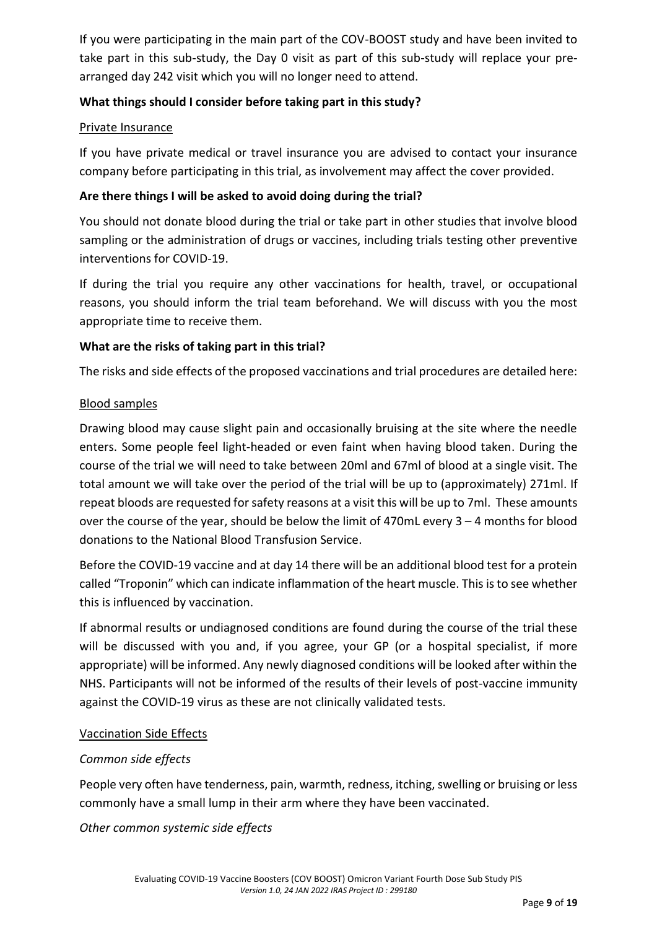If you were participating in the main part of the COV-BOOST study and have been invited to take part in this sub-study, the Day 0 visit as part of this sub-study will replace your prearranged day 242 visit which you will no longer need to attend.

## <span id="page-8-0"></span>**What things should I consider before taking part in this study?**

#### Private Insurance

If you have private medical or travel insurance you are advised to contact your insurance company before participating in this trial, as involvement may affect the cover provided.

#### <span id="page-8-1"></span>**Are there things I will be asked to avoid doing during the trial?**

You should not donate blood during the trial or take part in other studies that involve blood sampling or the administration of drugs or vaccines, including trials testing other preventive interventions for COVID-19.

If during the trial you require any other vaccinations for health, travel, or occupational reasons, you should inform the trial team beforehand. We will discuss with you the most appropriate time to receive them.

#### <span id="page-8-2"></span>**What are the risks of taking part in this trial?**

The risks and side effects of the proposed vaccinations and trial procedures are detailed here:

#### Blood samples

Drawing blood may cause slight pain and occasionally bruising at the site where the needle enters. Some people feel light-headed or even faint when having blood taken. During the course of the trial we will need to take between 20ml and 67ml of blood at a single visit. The total amount we will take over the period of the trial will be up to (approximately) 271ml. If repeat bloods are requested for safety reasons at a visit this will be up to 7ml. These amounts over the course of the year, should be below the limit of 470mL every 3 – 4 months for blood donations to the National Blood Transfusion Service.

Before the COVID-19 vaccine and at day 14 there will be an additional blood test for a protein called "Troponin" which can indicate inflammation of the heart muscle. This is to see whether this is influenced by vaccination.

If abnormal results or undiagnosed conditions are found during the course of the trial these will be discussed with you and, if you agree, your GP (or a hospital specialist, if more appropriate) will be informed. Any newly diagnosed conditions will be looked after within the NHS. Participants will not be informed of the results of their levels of post-vaccine immunity against the COVID-19 virus as these are not clinically validated tests.

#### Vaccination Side Effects

#### *Common side effects*

People very often have tenderness, pain, warmth, redness, itching, swelling or bruising or less commonly have a small lump in their arm where they have been vaccinated.

*Other common systemic side effects*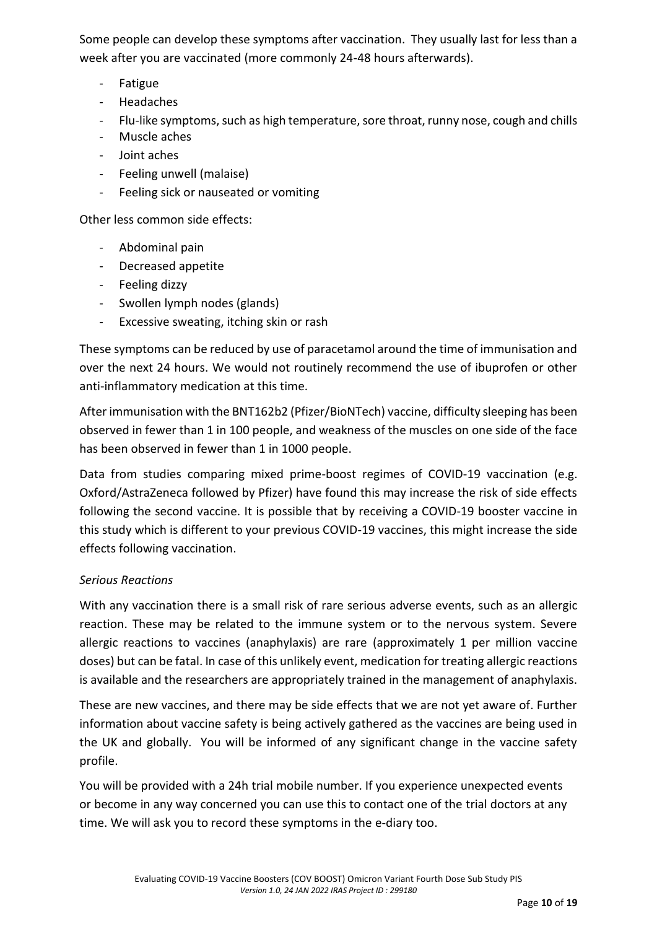Some people can develop these symptoms after vaccination. They usually last for less than a week after you are vaccinated (more commonly 24-48 hours afterwards).

- Fatigue
- Headaches
- Flu-like symptoms, such as high temperature, sore throat, runny nose, cough and chills
- Muscle aches
- Joint aches
- Feeling unwell (malaise)
- Feeling sick or nauseated or vomiting

Other less common side effects:

- Abdominal pain
- Decreased appetite
- Feeling dizzy
- Swollen lymph nodes (glands)
- Excessive sweating, itching skin or rash

These symptoms can be reduced by use of paracetamol around the time of immunisation and over the next 24 hours. We would not routinely recommend the use of ibuprofen or other anti-inflammatory medication at this time.

After immunisation with the BNT162b2 (Pfizer/BioNTech) vaccine, difficulty sleeping has been observed in fewer than 1 in 100 people, and weakness of the muscles on one side of the face has been observed in fewer than 1 in 1000 people.

Data from studies comparing mixed prime-boost regimes of COVID-19 vaccination (e.g. Oxford/AstraZeneca followed by Pfizer) have found this may increase the risk of side effects following the second vaccine. It is possible that by receiving a COVID-19 booster vaccine in this study which is different to your previous COVID-19 vaccines, this might increase the side effects following vaccination.

#### *Serious Reactions*

With any vaccination there is a small risk of rare serious adverse events, such as an allergic reaction. These may be related to the immune system or to the nervous system. Severe allergic reactions to vaccines (anaphylaxis) are rare (approximately 1 per million vaccine doses) but can be fatal. In case of this unlikely event, medication for treating allergic reactions is available and the researchers are appropriately trained in the management of anaphylaxis.

These are new vaccines, and there may be side effects that we are not yet aware of. Further information about vaccine safety is being actively gathered as the vaccines are being used in the UK and globally. You will be informed of any significant change in the vaccine safety profile.

You will be provided with a 24h trial mobile number. If you experience unexpected events or become in any way concerned you can use this to contact one of the trial doctors at any time. We will ask you to record these symptoms in the e-diary too.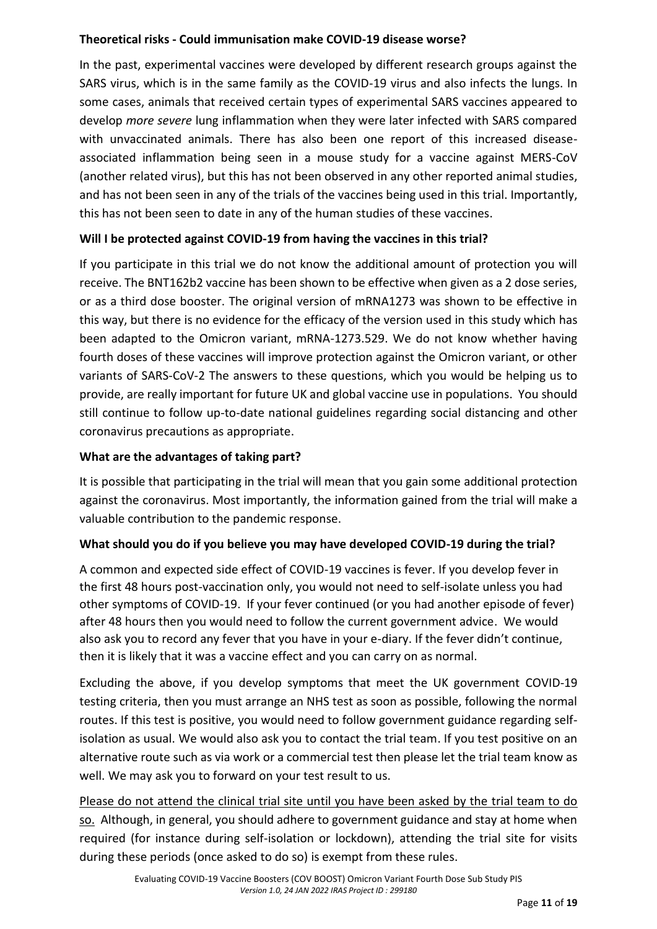## **Theoretical risks - Could immunisation make COVID-19 disease worse?**

In the past, experimental vaccines were developed by different research groups against the SARS virus, which is in the same family as the COVID-19 virus and also infects the lungs. In some cases, animals that received certain types of experimental SARS vaccines appeared to develop *more severe* lung inflammation when they were later infected with SARS compared with unvaccinated animals. There has also been one report of this increased diseaseassociated inflammation being seen in a mouse study for a vaccine against MERS-CoV (another related virus), but this has not been observed in any other reported animal studies, and has not been seen in any of the trials of the vaccines being used in this trial. Importantly, this has not been seen to date in any of the human studies of these vaccines.

## <span id="page-10-0"></span>**Will I be protected against COVID-19 from having the vaccines in this trial?**

If you participate in this trial we do not know the additional amount of protection you will receive. The BNT162b2 vaccine has been shown to be effective when given as a 2 dose series, or as a third dose booster. The original version of mRNA1273 was shown to be effective in this way, but there is no evidence for the efficacy of the version used in this study which has been adapted to the Omicron variant, mRNA-1273.529. We do not know whether having fourth doses of these vaccines will improve protection against the Omicron variant, or other variants of SARS-CoV-2 The answers to these questions, which you would be helping us to provide, are really important for future UK and global vaccine use in populations. You should still continue to follow up-to-date national guidelines regarding social distancing and other coronavirus precautions as appropriate.

## <span id="page-10-1"></span>**What are the advantages of taking part?**

It is possible that participating in the trial will mean that you gain some additional protection against the coronavirus. Most importantly, the information gained from the trial will make a valuable contribution to the pandemic response.

## <span id="page-10-2"></span>**What should you do if you believe you may have developed COVID-19 during the trial?**

A common and expected side effect of COVID-19 vaccines is fever. If you develop fever in the first 48 hours post-vaccination only, you would not need to self-isolate unless you had other symptoms of COVID-19. If your fever continued (or you had another episode of fever) after 48 hours then you would need to follow the current government advice. We would also ask you to record any fever that you have in your e-diary. If the fever didn't continue, then it is likely that it was a vaccine effect and you can carry on as normal.

Excluding the above, if you develop symptoms that meet the UK government COVID-19 testing criteria, then you must arrange an NHS test as soon as possible, following the normal routes. If this test is positive, you would need to follow government guidance regarding selfisolation as usual. We would also ask you to contact the trial team. If you test positive on an alternative route such as via work or a commercial test then please let the trial team know as well. We may ask you to forward on your test result to us.

Please do not attend the clinical trial site until you have been asked by the trial team to do so. Although, in general, you should adhere to government guidance and stay at home when required (for instance during self-isolation or lockdown), attending the trial site for visits during these periods (once asked to do so) is exempt from these rules.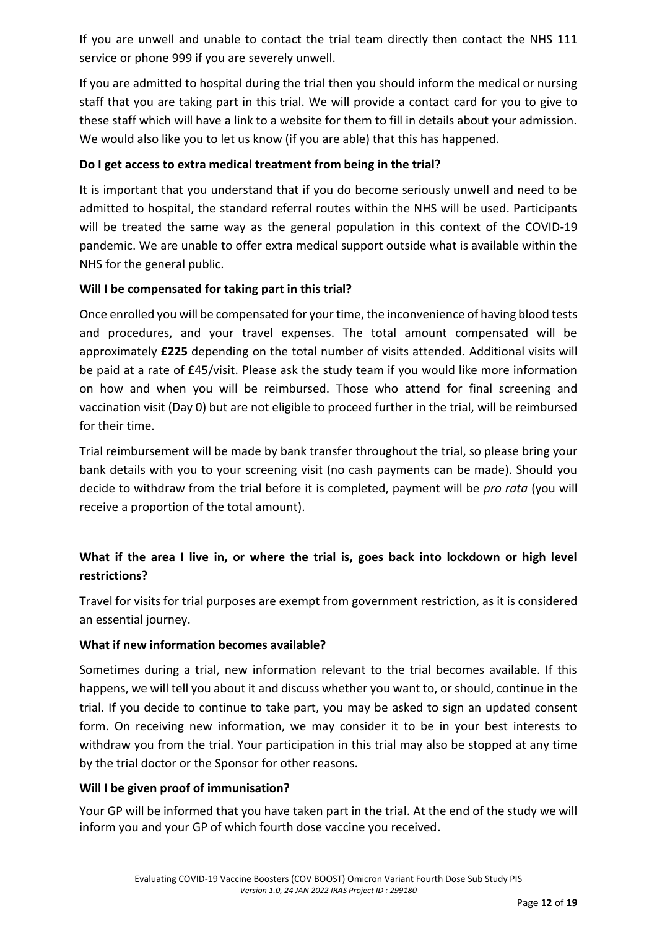If you are unwell and unable to contact the trial team directly then contact the NHS 111 service or phone 999 if you are severely unwell.

If you are admitted to hospital during the trial then you should inform the medical or nursing staff that you are taking part in this trial. We will provide a contact card for you to give to these staff which will have a link to a website for them to fill in details about your admission. We would also like you to let us know (if you are able) that this has happened.

## **Do I get access to extra medical treatment from being in the trial?**

It is important that you understand that if you do become seriously unwell and need to be admitted to hospital, the standard referral routes within the NHS will be used. Participants will be treated the same way as the general population in this context of the COVID-19 pandemic. We are unable to offer extra medical support outside what is available within the NHS for the general public.

# <span id="page-11-0"></span>**Will I be compensated for taking part in this trial?**

Once enrolled you will be compensated for your time, the inconvenience of having blood tests and procedures, and your travel expenses. The total amount compensated will be approximately **£225** depending on the total number of visits attended. Additional visits will be paid at a rate of £45/visit. Please ask the study team if you would like more information on how and when you will be reimbursed. Those who attend for final screening and vaccination visit (Day 0) but are not eligible to proceed further in the trial, will be reimbursed for their time.

Trial reimbursement will be made by bank transfer throughout the trial, so please bring your bank details with you to your screening visit (no cash payments can be made). Should you decide to withdraw from the trial before it is completed, payment will be *pro rata* (you will receive a proportion of the total amount).

# <span id="page-11-1"></span>**What if the area I live in, or where the trial is, goes back into lockdown or high level restrictions?**

Travel for visits for trial purposes are exempt from government restriction, as it is considered an essential journey.

## <span id="page-11-2"></span>**What if new information becomes available?**

Sometimes during a trial, new information relevant to the trial becomes available. If this happens, we will tell you about it and discuss whether you want to, or should, continue in the trial. If you decide to continue to take part, you may be asked to sign an updated consent form. On receiving new information, we may consider it to be in your best interests to withdraw you from the trial. Your participation in this trial may also be stopped at any time by the trial doctor or the Sponsor for other reasons.

## <span id="page-11-3"></span>**Will I be given proof of immunisation?**

Your GP will be informed that you have taken part in the trial. At the end of the study we will inform you and your GP of which fourth dose vaccine you received.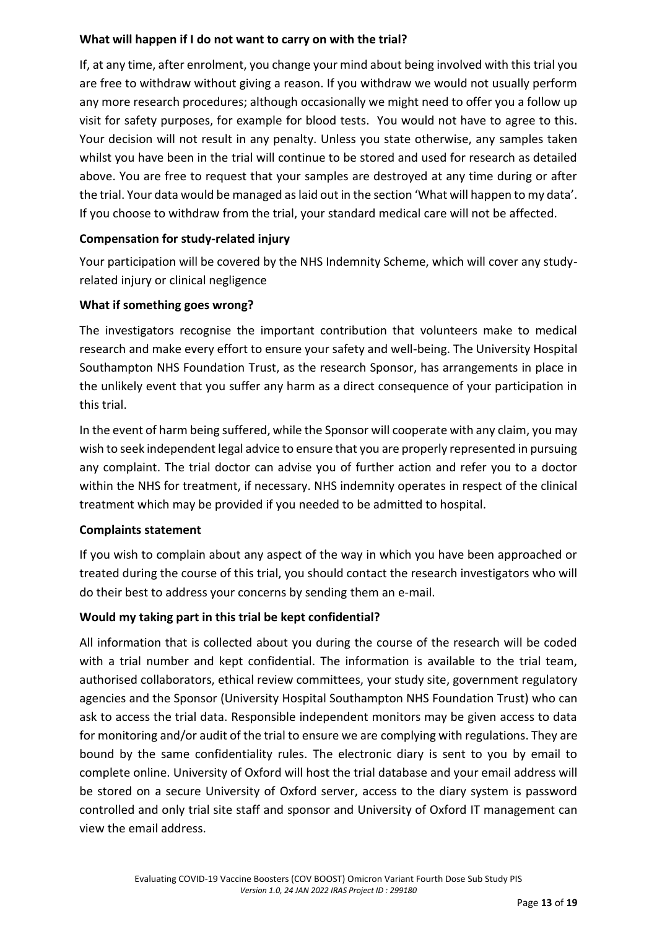## <span id="page-12-0"></span>**What will happen if I do not want to carry on with the trial?**

If, at any time, after enrolment, you change your mind about being involved with this trial you are free to withdraw without giving a reason. If you withdraw we would not usually perform any more research procedures; although occasionally we might need to offer you a follow up visit for safety purposes, for example for blood tests. You would not have to agree to this. Your decision will not result in any penalty. Unless you state otherwise, any samples taken whilst you have been in the trial will continue to be stored and used for research as detailed above. You are free to request that your samples are destroyed at any time during or after the trial. Your data would be managed as laid out in the section 'What will happen to my data'. If you choose to withdraw from the trial, your standard medical care will not be affected.

## <span id="page-12-1"></span>**Compensation for study-related injury**

Your participation will be covered by the NHS Indemnity Scheme, which will cover any studyrelated injury or clinical negligence

# <span id="page-12-2"></span>**What if something goes wrong?**

The investigators recognise the important contribution that volunteers make to medical research and make every effort to ensure your safety and well-being. The University Hospital Southampton NHS Foundation Trust, as the research Sponsor, has arrangements in place in the unlikely event that you suffer any harm as a direct consequence of your participation in this trial.

In the event of harm being suffered, while the Sponsor will cooperate with any claim, you may wish to seek independent legal advice to ensure that you are properly represented in pursuing any complaint. The trial doctor can advise you of further action and refer you to a doctor within the NHS for treatment, if necessary. NHS indemnity operates in respect of the clinical treatment which may be provided if you needed to be admitted to hospital.

## <span id="page-12-3"></span>**Complaints statement**

If you wish to complain about any aspect of the way in which you have been approached or treated during the course of this trial, you should contact the research investigators who will do their best to address your concerns by sending them an e-mail.

# <span id="page-12-4"></span>**Would my taking part in this trial be kept confidential?**

All information that is collected about you during the course of the research will be coded with a trial number and kept confidential. The information is available to the trial team, authorised collaborators, ethical review committees, your study site, government regulatory agencies and the Sponsor (University Hospital Southampton NHS Foundation Trust) who can ask to access the trial data. Responsible independent monitors may be given access to data for monitoring and/or audit of the trial to ensure we are complying with regulations. They are bound by the same confidentiality rules. The electronic diary is sent to you by email to complete online. University of Oxford will host the trial database and your email address will be stored on a secure University of Oxford server, access to the diary system is password controlled and only trial site staff and sponsor and University of Oxford IT management can view the email address.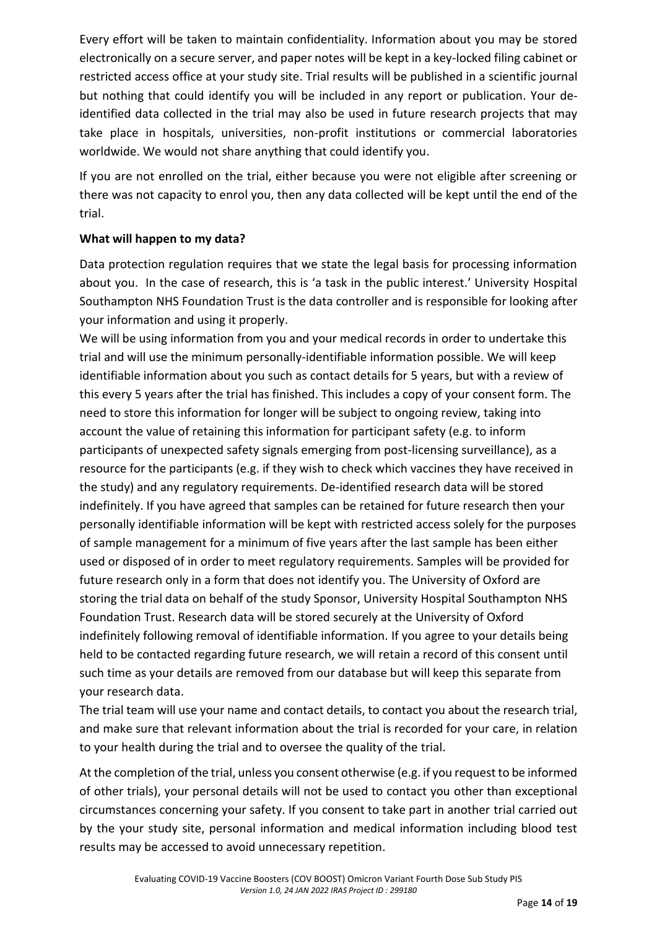Every effort will be taken to maintain confidentiality. Information about you may be stored electronically on a secure server, and paper notes will be kept in a key-locked filing cabinet or restricted access office at your study site. Trial results will be published in a scientific journal but nothing that could identify you will be included in any report or publication. Your deidentified data collected in the trial may also be used in future research projects that may take place in hospitals, universities, non-profit institutions or commercial laboratories worldwide. We would not share anything that could identify you.

If you are not enrolled on the trial, either because you were not eligible after screening or there was not capacity to enrol you, then any data collected will be kept until the end of the trial.

## <span id="page-13-0"></span>**What will happen to my data?**

Data protection regulation requires that we state the legal basis for processing information about you. In the case of research, this is 'a task in the public interest.' University Hospital Southampton NHS Foundation Trust is the data controller and is responsible for looking after your information and using it properly.

We will be using information from you and your medical records in order to undertake this trial and will use the minimum personally-identifiable information possible. We will keep identifiable information about you such as contact details for 5 years, but with a review of this every 5 years after the trial has finished. This includes a copy of your consent form. The need to store this information for longer will be subject to ongoing review, taking into account the value of retaining this information for participant safety (e.g. to inform participants of unexpected safety signals emerging from post-licensing surveillance), as a resource for the participants (e.g. if they wish to check which vaccines they have received in the study) and any regulatory requirements. De-identified research data will be stored indefinitely. If you have agreed that samples can be retained for future research then your personally identifiable information will be kept with restricted access solely for the purposes of sample management for a minimum of five years after the last sample has been either used or disposed of in order to meet regulatory requirements. Samples will be provided for future research only in a form that does not identify you. The University of Oxford are storing the trial data on behalf of the study Sponsor, University Hospital Southampton NHS Foundation Trust. Research data will be stored securely at the University of Oxford indefinitely following removal of identifiable information. If you agree to your details being held to be contacted regarding future research, we will retain a record of this consent until such time as your details are removed from our database but will keep this separate from your research data.

The trial team will use your name and contact details, to contact you about the research trial, and make sure that relevant information about the trial is recorded for your care, in relation to your health during the trial and to oversee the quality of the trial.

At the completion of the trial, unless you consent otherwise (e.g. if you request to be informed of other trials), your personal details will not be used to contact you other than exceptional circumstances concerning your safety. If you consent to take part in another trial carried out by the your study site, personal information and medical information including blood test results may be accessed to avoid unnecessary repetition.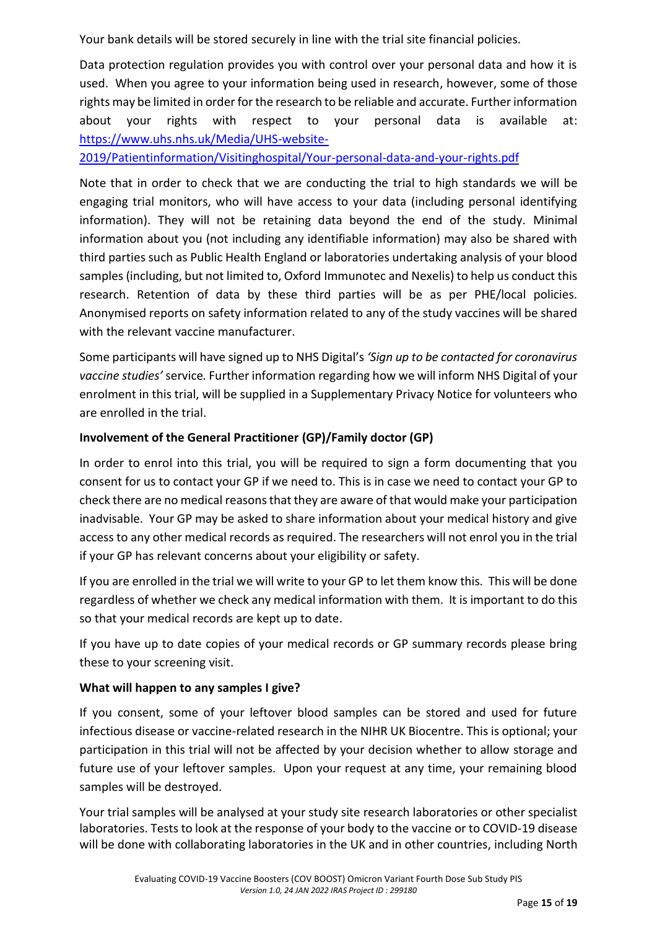Your bank details will be stored securely in line with the trial site financial policies.

Data protection regulation provides you with control over your personal data and how it is used. When you agree to your information being used in research, however, some of those rights may be limited in order for the research to be reliable and accurate. Further information about your rights with respect to your personal data is available at: [https://www.uhs.nhs.uk/Media/UHS-website-](https://www.uhs.nhs.uk/Media/UHS-website-2019/Patientinformation/Visitinghospital/Your-personal-data-and-your-rights.pdf)

[2019/Patientinformation/Visitinghospital/Your-personal-data-and-your-rights.pdf](https://www.uhs.nhs.uk/Media/UHS-website-2019/Patientinformation/Visitinghospital/Your-personal-data-and-your-rights.pdf)

Note that in order to check that we are conducting the trial to high standards we will be engaging trial monitors, who will have access to your data (including personal identifying information). They will not be retaining data beyond the end of the study. Minimal information about you (not including any identifiable information) may also be shared with third parties such as Public Health England or laboratories undertaking analysis of your blood samples (including, but not limited to, Oxford Immunotec and Nexelis) to help us conduct this research. Retention of data by these third parties will be as per PHE/local policies. Anonymised reports on safety information related to any of the study vaccines will be shared with the relevant vaccine manufacturer.

Some participants will have signed up to NHS Digital's *'Sign up to be contacted for coronavirus vaccine studies'* service*.* Further information regarding how we will inform NHS Digital of your enrolment in this trial, will be supplied in a Supplementary Privacy Notice for volunteers who are enrolled in the trial.

## <span id="page-14-0"></span>**Involvement of the General Practitioner (GP)/Family doctor (GP)**

In order to enrol into this trial, you will be required to sign a form documenting that you consent for us to contact your GP if we need to. This is in case we need to contact your GP to check there are no medical reasons that they are aware of that would make your participation inadvisable. Your GP may be asked to share information about your medical history and give access to any other medical records as required. The researchers will not enrol you in the trial if your GP has relevant concerns about your eligibility or safety.

If you are enrolled in the trial we will write to your GP to let them know this. This will be done regardless of whether we check any medical information with them. It is important to do this so that your medical records are kept up to date.

If you have up to date copies of your medical records or GP summary records please bring these to your screening visit.

## <span id="page-14-1"></span>**What will happen to any samples I give?**

If you consent, some of your leftover blood samples can be stored and used for future infectious disease or vaccine-related research in the NIHR UK Biocentre. This is optional; your participation in this trial will not be affected by your decision whether to allow storage and future use of your leftover samples. Upon your request at any time, your remaining blood samples will be destroyed.

Your trial samples will be analysed at your study site research laboratories or other specialist laboratories. Tests to look at the response of your body to the vaccine or to COVID-19 disease will be done with collaborating laboratories in the UK and in other countries, including North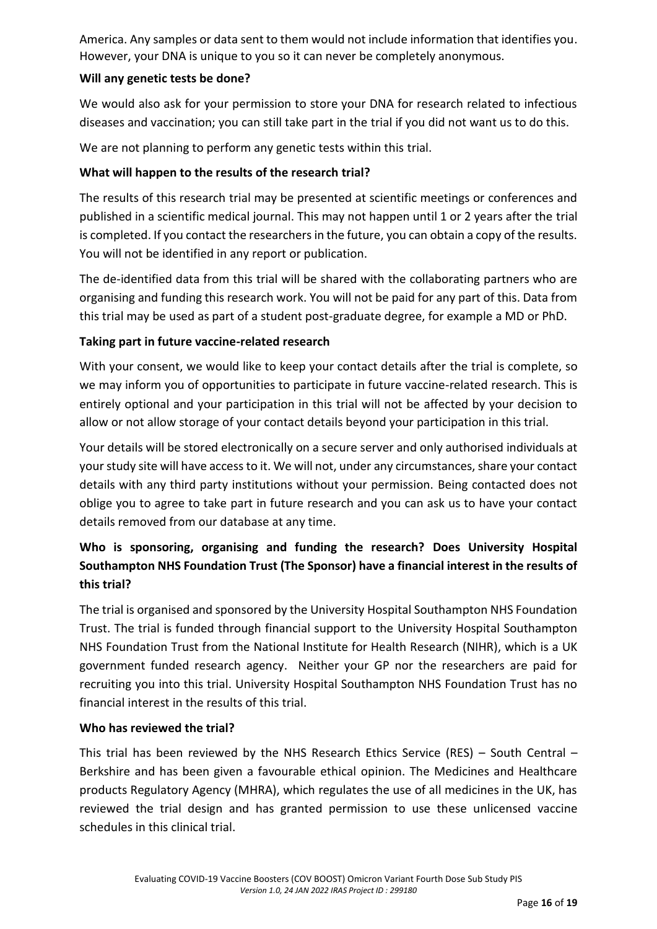America. Any samples or data sent to them would not include information that identifies you. However, your DNA is unique to you so it can never be completely anonymous.

## <span id="page-15-0"></span>**Will any genetic tests be done?**

We would also ask for your permission to store your DNA for research related to infectious diseases and vaccination; you can still take part in the trial if you did not want us to do this.

We are not planning to perform any genetic tests within this trial.

## <span id="page-15-1"></span>**What will happen to the results of the research trial?**

The results of this research trial may be presented at scientific meetings or conferences and published in a scientific medical journal. This may not happen until 1 or 2 years after the trial is completed. If you contact the researchers in the future, you can obtain a copy of the results. You will not be identified in any report or publication.

The de-identified data from this trial will be shared with the collaborating partners who are organising and funding this research work. You will not be paid for any part of this. Data from this trial may be used as part of a student post-graduate degree, for example a MD or PhD.

## <span id="page-15-2"></span>**Taking part in future vaccine-related research**

With your consent, we would like to keep your contact details after the trial is complete, so we may inform you of opportunities to participate in future vaccine-related research. This is entirely optional and your participation in this trial will not be affected by your decision to allow or not allow storage of your contact details beyond your participation in this trial.

Your details will be stored electronically on a secure server and only authorised individuals at your study site will have access to it. We will not, under any circumstances, share your contact details with any third party institutions without your permission. Being contacted does not oblige you to agree to take part in future research and you can ask us to have your contact details removed from our database at any time.

# <span id="page-15-3"></span>**Who is sponsoring, organising and funding the research? Does University Hospital Southampton NHS Foundation Trust (The Sponsor) have a financial interest in the results of this trial?**

The trial is organised and sponsored by the University Hospital Southampton NHS Foundation Trust. The trial is funded through financial support to the University Hospital Southampton NHS Foundation Trust from the National Institute for Health Research (NIHR), which is a UK government funded research agency. Neither your GP nor the researchers are paid for recruiting you into this trial. University Hospital Southampton NHS Foundation Trust has no financial interest in the results of this trial.

## <span id="page-15-4"></span>**Who has reviewed the trial?**

This trial has been reviewed by the NHS Research Ethics Service (RES) – South Central – Berkshire and has been given a favourable ethical opinion. The Medicines and Healthcare products Regulatory Agency (MHRA), which regulates the use of all medicines in the UK, has reviewed the trial design and has granted permission to use these unlicensed vaccine schedules in this clinical trial.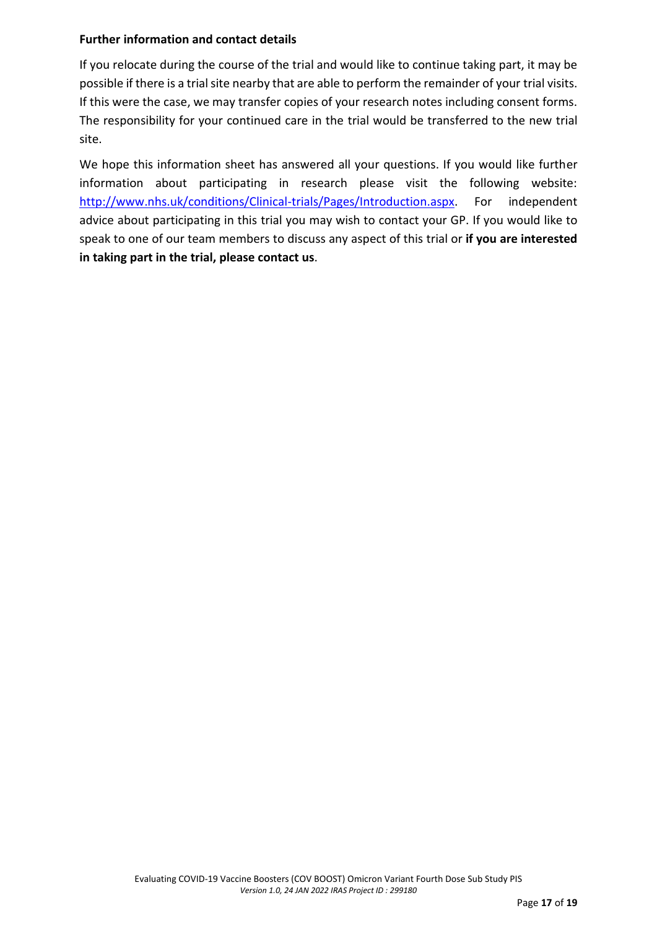#### <span id="page-16-0"></span>**Further information and contact details**

If you relocate during the course of the trial and would like to continue taking part, it may be possible if there is a trial site nearby that are able to perform the remainder of your trial visits. If this were the case, we may transfer copies of your research notes including consent forms. The responsibility for your continued care in the trial would be transferred to the new trial site.

We hope this information sheet has answered all your questions. If you would like further information about participating in research please visit the following website: [http://www.nhs.uk/conditions/Clinical-trials/Pages/Introduction.aspx.](http://www.nhs.uk/conditions/Clinical-trials/Pages/Introduction.aspx) For independent advice about participating in this trial you may wish to contact your GP. If you would like to speak to one of our team members to discuss any aspect of this trial or **if you are interested in taking part in the trial, please contact us**.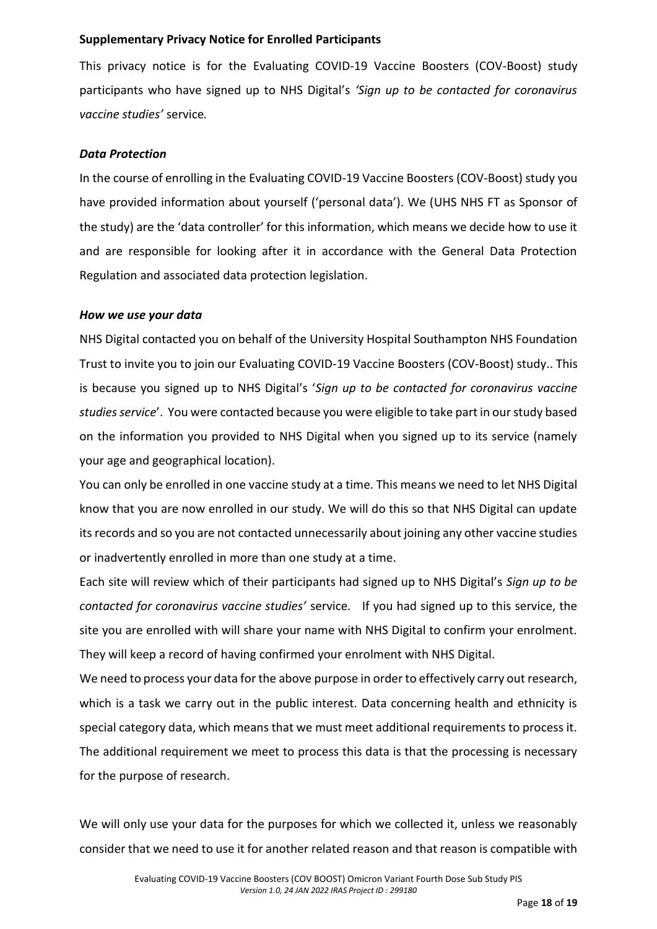#### **Supplementary Privacy Notice for Enrolled Participants**

This privacy notice is for the Evaluating COVID-19 Vaccine Boosters (COV-Boost) study participants who have signed up to NHS Digital's *'Sign up to be contacted for coronavirus vaccine studies'* service*.* 

#### *Data Protection*

In the course of enrolling in the Evaluating COVID-19 Vaccine Boosters (COV-Boost) study you have provided information about yourself ('personal data'). We (UHS NHS FT as Sponsor of the study) are the 'data controller' for this information, which means we decide how to use it and are responsible for looking after it in accordance with the General Data Protection Regulation and associated data protection legislation.

#### *How we use your data*

NHS Digital contacted you on behalf of the University Hospital Southampton NHS Foundation Trust to invite you to join our Evaluating COVID-19 Vaccine Boosters (COV-Boost) study.. This is because you signed up to NHS Digital's '*Sign up to be contacted for coronavirus vaccine studies service*'. You were contacted because you were eligible to take part in our study based on the information you provided to NHS Digital when you signed up to its service (namely your age and geographical location).

You can only be enrolled in one vaccine study at a time. This means we need to let NHS Digital know that you are now enrolled in our study. We will do this so that NHS Digital can update its records and so you are not contacted unnecessarily about joining any other vaccine studies or inadvertently enrolled in more than one study at a time.

Each site will review which of their participants had signed up to NHS Digital's *Sign up to be contacted for coronavirus vaccine studies'* service*.* If you had signed up to this service, the site you are enrolled with will share your name with NHS Digital to confirm your enrolment. They will keep a record of having confirmed your enrolment with NHS Digital.

We need to process your data for the above purpose in order to effectively carry out research, which is a task we carry out in the public interest. Data concerning health and ethnicity is special category data, which means that we must meet additional requirements to process it. The additional requirement we meet to process this data is that the processing is necessary for the purpose of research.

We will only use your data for the purposes for which we collected it, unless we reasonably consider that we need to use it for another related reason and that reason is compatible with